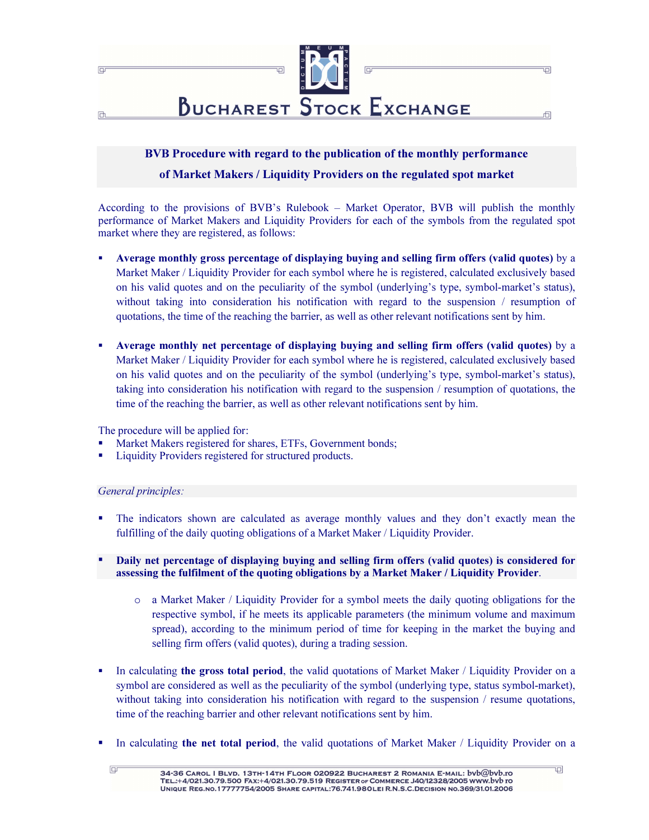

# BVB Procedure with regard to the publication of the monthly performance of Market Makers / Liquidity Providers on the regulated spot market

According to the provisions of BVB's Rulebook – Market Operator, BVB will publish the monthly performance of Market Makers and Liquidity Providers for each of the symbols from the regulated spot market where they are registered, as follows:

- Average monthly gross percentage of displaying buying and selling firm offers (valid quotes) by a Market Maker / Liquidity Provider for each symbol where he is registered, calculated exclusively based on his valid quotes and on the peculiarity of the symbol (underlying's type, symbol-market's status), without taking into consideration his notification with regard to the suspension / resumption of quotations, the time of the reaching the barrier, as well as other relevant notifications sent by him.
- Average monthly net percentage of displaying buying and selling firm offers (valid quotes) by a Market Maker / Liquidity Provider for each symbol where he is registered, calculated exclusively based on his valid quotes and on the peculiarity of the symbol (underlying's type, symbol-market's status), taking into consideration his notification with regard to the suspension / resumption of quotations, the time of the reaching the barrier, as well as other relevant notifications sent by him.

The procedure will be applied for:

- Market Makers registered for shares, ETFs, Government bonds;
- Liquidity Providers registered for structured products.

## General principles:

- The indicators shown are calculated as average monthly values and they don't exactly mean the fulfilling of the daily quoting obligations of a Market Maker / Liquidity Provider.
- Daily net percentage of displaying buying and selling firm offers (valid quotes) is considered for assessing the fulfilment of the quoting obligations by a Market Maker / Liquidity Provider.
	- o a Market Maker / Liquidity Provider for a symbol meets the daily quoting obligations for the respective symbol, if he meets its applicable parameters (the minimum volume and maximum spread), according to the minimum period of time for keeping in the market the buying and selling firm offers (valid quotes), during a trading session.
- In calculating the gross total period, the valid quotations of Market Maker / Liquidity Provider on a symbol are considered as well as the peculiarity of the symbol (underlying type, status symbol-market), without taking into consideration his notification with regard to the suspension / resume quotations, time of the reaching barrier and other relevant notifications sent by him.
- In calculating the net total period, the valid quotations of Market Maker / Liquidity Provider on a

ē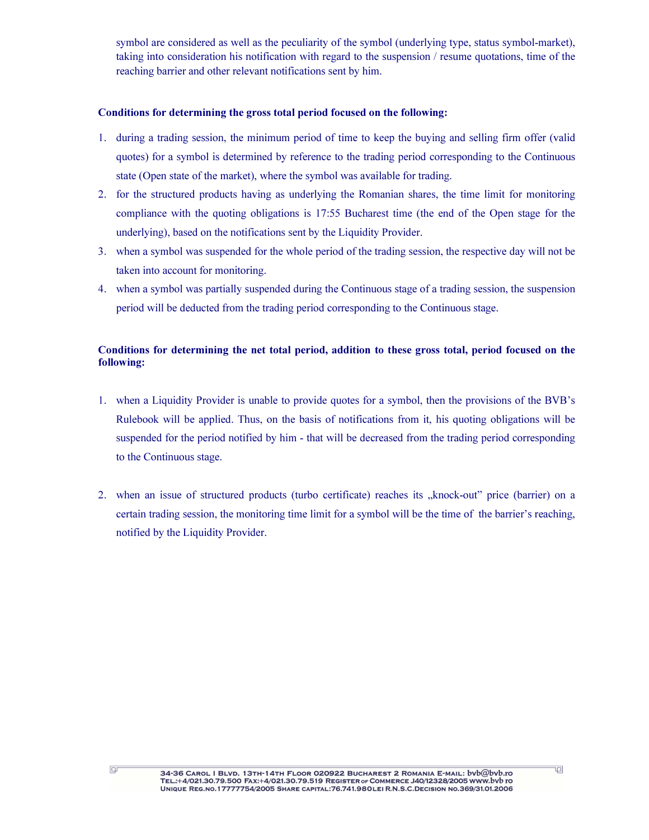symbol are considered as well as the peculiarity of the symbol (underlying type, status symbol-market), taking into consideration his notification with regard to the suspension / resume quotations, time of the reaching barrier and other relevant notifications sent by him.

## Conditions for determining the gross total period focused on the following:

- 1. during a trading session, the minimum period of time to keep the buying and selling firm offer (valid quotes) for a symbol is determined by reference to the trading period corresponding to the Continuous state (Open state of the market), where the symbol was available for trading.
- 2. for the structured products having as underlying the Romanian shares, the time limit for monitoring compliance with the quoting obligations is 17:55 Bucharest time (the end of the Open stage for the underlying), based on the notifications sent by the Liquidity Provider.
- 3. when a symbol was suspended for the whole period of the trading session, the respective day will not be taken into account for monitoring.
- 4. when a symbol was partially suspended during the Continuous stage of a trading session, the suspension period will be deducted from the trading period corresponding to the Continuous stage.

## Conditions for determining the net total period, addition to these gross total, period focused on the following:

- 1. when a Liquidity Provider is unable to provide quotes for a symbol, then the provisions of the BVB's Rulebook will be applied. Thus, on the basis of notifications from it, his quoting obligations will be suspended for the period notified by him - that will be decreased from the trading period corresponding to the Continuous stage.
- 2. when an issue of structured products (turbo certificate) reaches its "knock-out" price (barrier) on a certain trading session, the monitoring time limit for a symbol will be the time of the barrier's reaching, notified by the Liquidity Provider.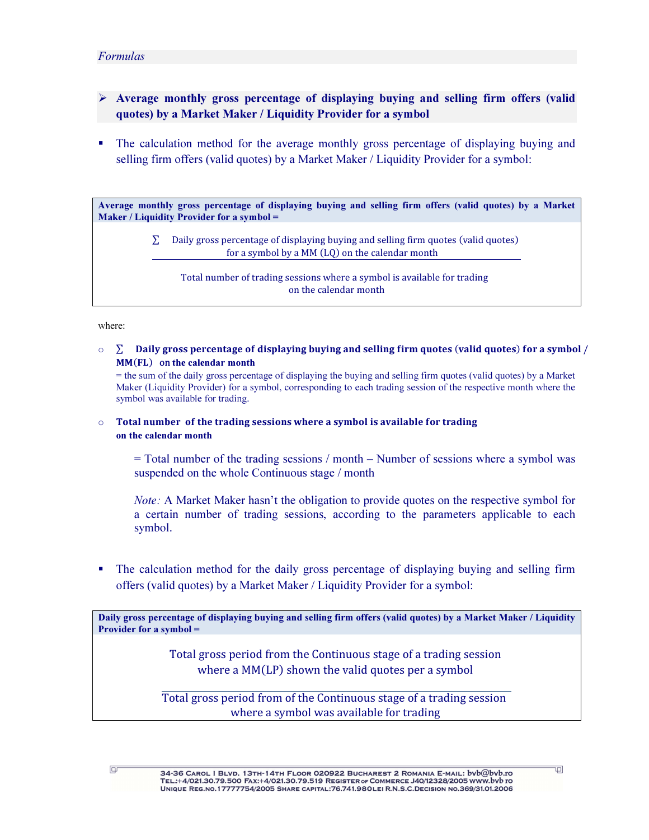## Formulas

- $\triangleright$  Average monthly gross percentage of displaying buying and selling firm offers (valid quotes) by a Market Maker / Liquidity Provider for a symbol
- - The calculation method for the average monthly gross percentage of displaying buying and selling firm offers (valid quotes) by a Market Maker / Liquidity Provider for a symbol:

Average monthly gross percentage of displaying buying and selling firm offers (valid quotes) by a Market Maker / Liquidity Provider for a symbol =

> Daily gross percentage of displaying buying and selling firm quotes (valid quotes) for a symbol by a  $MM(LQ)$  on the calendar month

Total number of trading sessions where a symbol is available for trading on the calendar month

#### where:

 $\circ$   $\sum$   $\Box$  Daily gross percentage of displaying buying and selling firm quotes (valid quotes) for a symbol / MM(FL) on the calendar month

= the sum of the daily gross percentage of displaying the buying and selling firm quotes (valid quotes) by a Market Maker (Liquidity Provider) for a symbol, corresponding to each trading session of the respective month where the symbol was available for trading.

 $\circ$  Total number of the trading sessions where a symbol is available for trading on the calendar month

= Total number of the trading sessions / month – Number of sessions where a symbol was suspended on the whole Continuous stage / month

Note: A Market Maker hasn't the obligation to provide quotes on the respective symbol for a certain number of trading sessions, according to the parameters applicable to each symbol.

- The calculation method for the daily gross percentage of displaying buying and selling firm offers (valid quotes) by a Market Maker / Liquidity Provider for a symbol:

Daily gross percentage of displaying buying and selling firm offers (valid quotes) by a Market Maker / Liquidity Provider for a symbol =

> Total gross period from the Continuous stage of a trading session where a  $MM(LP)$  shown the valid quotes per a symbol

Total gross period from of the Continuous stage of a trading session where a symbol was available for trading